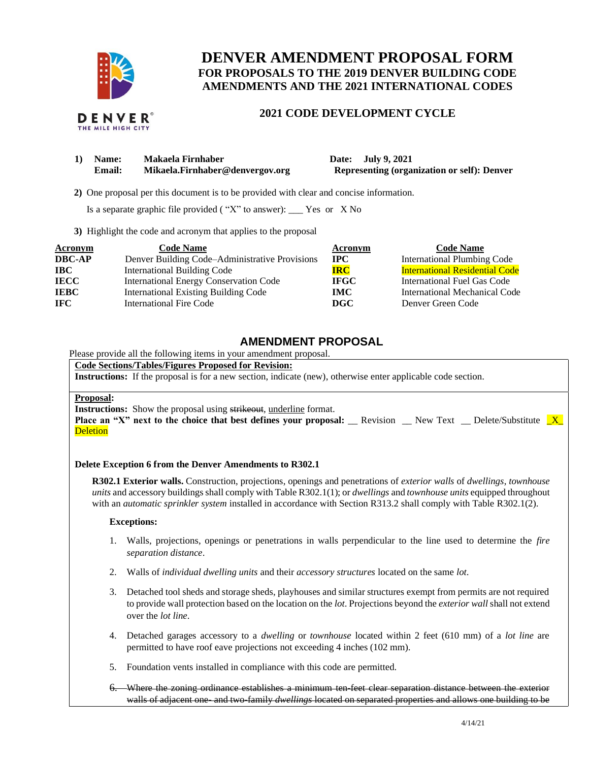

## **DENVER AMENDMENT PROPOSAL FORM FOR PROPOSALS TO THE 2019 DENVER BUILDING CODE AMENDMENTS AND THE 2021 INTERNATIONAL CODES**

# **2021 CODE DEVELOPMENT CYCLE**

| 1) | Name:  | Makaela Firnhaber               |  |  |
|----|--------|---------------------------------|--|--|
|    | Email: | Mikaela.Firnhaber@denvergov.org |  |  |

**1) Date: July 9, 2021 Representing (organization or self): Denver** 

 **2)** One proposal per this document is to be provided with clear and concise information.

Is a separate graphic file provided ( "X" to answer): \_\_\_ Yes or X No

**3)** Highlight the code and acronym that applies to the proposal

| Acronym       | <b>Code Name</b>                               | Acronym     | <b>Code Name</b>                      |
|---------------|------------------------------------------------|-------------|---------------------------------------|
| <b>DBC-AP</b> | Denver Building Code-Administrative Provisions | $\bf IPC$   | <b>International Plumbing Code</b>    |
| <b>IBC</b>    | <b>International Building Code</b>             | <b>IRC</b>  | <b>International Residential Code</b> |
| <b>IECC</b>   | International Energy Conservation Code         | <b>IFGC</b> | International Fuel Gas Code           |
| <b>IEBC</b>   | <b>International Existing Building Code</b>    | IMC.        | International Mechanical Code         |
| IFC.          | <b>International Fire Code</b>                 | DGC         | Denver Green Code                     |

## **AMENDMENT PROPOSAL**

Please provide all the following items in your amendment proposal.

## **Code Sections/Tables/Figures Proposed for Revision:**

**Instructions:** If the proposal is for a new section, indicate (new), otherwise enter applicable code section.

#### **Proposal:**

**Instructions:** Show the proposal using strikeout, underline format.

**Place an "X" next to the choice that best defines your proposal:** \_\_ Revision \_\_ New Text \_\_ Delete/Substitute  $\mathbf{X}$ **Deletion** 

### **Delete Exception 6 from the Denver Amendments to R302.1**

**R302.1 Exterior walls.** Construction, projections, openings and penetrations of *exterior walls* of *dwellings*, *townhouse units* and accessory buildings shall comply with Table R302.1(1); or *dwellings* and *townhouse units* equipped throughout with an *automatic sprinkler system* installed in accordance with Section R313.2 shall comply with Table R302.1(2).

#### **Exceptions:**

- 1. Walls, projections, openings or penetrations in walls perpendicular to the line used to determine the *fire separation distance*.
- 2. Walls of *individual dwelling units* and their *accessory structures* located on the same *lot*.
- 3. Detached tool sheds and storage sheds, playhouses and similar structures exempt from permits are not required to provide wall protection based on the location on the *lot*. Projections beyond the *exterior wall* shall not extend over the *lot line*.
- 4. Detached garages accessory to a *dwelling* or *townhouse* located within 2 feet (610 mm) of a *lot line* are permitted to have roof eave projections not exceeding 4 inches (102 mm).
- 5. Foundation vents installed in compliance with this code are permitted.
- 6. Where the zoning ordinance establishes a minimum ten-feet clear separation distance between the exterior walls of adjacent one- and two-family *dwellings* located on separated properties and allows one building to be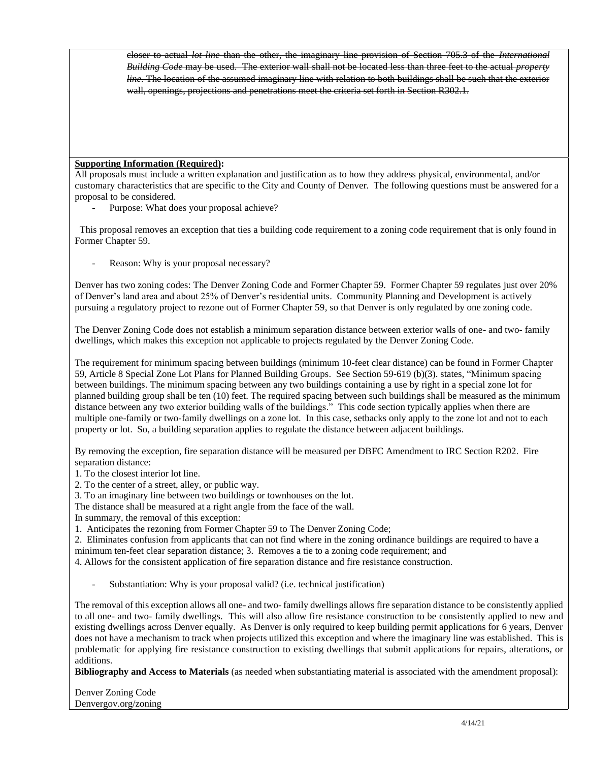closer to actual *lot line* than the other, the imaginary line provision of Section 705.3 of the *International Building Code* may be used. The exterior wall shall not be located less than three feet to the actual *property line*. The location of the assumed imaginary line with relation to both buildings shall be such that the exterior wall, openings, projections and penetrations meet the criteria set forth in Section R302.1.

### **Supporting Information (Required):**

All proposals must include a written explanation and justification as to how they address physical, environmental, and/or customary characteristics that are specific to the City and County of Denver. The following questions must be answered for a proposal to be considered.

Purpose: What does your proposal achieve?

 This proposal removes an exception that ties a building code requirement to a zoning code requirement that is only found in Former Chapter 59.

Reason: Why is your proposal necessary?

Denver has two zoning codes: The Denver Zoning Code and Former Chapter 59. Former Chapter 59 regulates just over 20% of Denver's land area and about 25% of Denver's residential units. Community Planning and Development is actively pursuing a regulatory project to rezone out of Former Chapter 59, so that Denver is only regulated by one zoning code.

The Denver Zoning Code does not establish a minimum separation distance between exterior walls of one- and two- family dwellings, which makes this exception not applicable to projects regulated by the Denver Zoning Code.

The requirement for minimum spacing between buildings (minimum 10-feet clear distance) can be found in Former Chapter 59, Article 8 Special Zone Lot Plans for Planned Building Groups. See Section 59-619 (b)(3). states, "Minimum spacing between buildings. The minimum spacing between any two buildings containing a use by right in a special zone lot for planned building group shall be ten (10) feet. The required spacing between such buildings shall be measured as the minimum distance between any two exterior building walls of the buildings." This code section typically applies when there are multiple one-family or two-family dwellings on a zone lot. In this case, setbacks only apply to the zone lot and not to each property or lot. So, a building separation applies to regulate the distance between adjacent buildings.

By removing the exception, fire separation distance will be measured per DBFC Amendment to IRC Section R202. Fire separation distance:

1. To the closest interior lot line.

2. To the center of a street, alley, or public way.

3. To an imaginary line between two buildings or townhouses on the lot.

The distance shall be measured at a right angle from the face of the wall.

In summary, the removal of this exception:

1. Anticipates the rezoning from Former Chapter 59 to The Denver Zoning Code;

2. Eliminates confusion from applicants that can not find where in the zoning ordinance buildings are required to have a minimum ten-feet clear separation distance; 3. Removes a tie to a zoning code requirement; and

4. Allows for the consistent application of fire separation distance and fire resistance construction.

Substantiation: Why is your proposal valid? (i.e. technical justification)

The removal of this exception allows all one- and two- family dwellings allows fire separation distance to be consistently applied to all one- and two- family dwellings. This will also allow fire resistance construction to be consistently applied to new and existing dwellings across Denver equally. As Denver is only required to keep building permit applications for 6 years, Denver does not have a mechanism to track when projects utilized this exception and where the imaginary line was established. This is problematic for applying fire resistance construction to existing dwellings that submit applications for repairs, alterations, or additions.

**Bibliography and Access to Materials** (as needed when substantiating material is associated with the amendment proposal):

Denver Zoning Code Denvergov.org/zoning